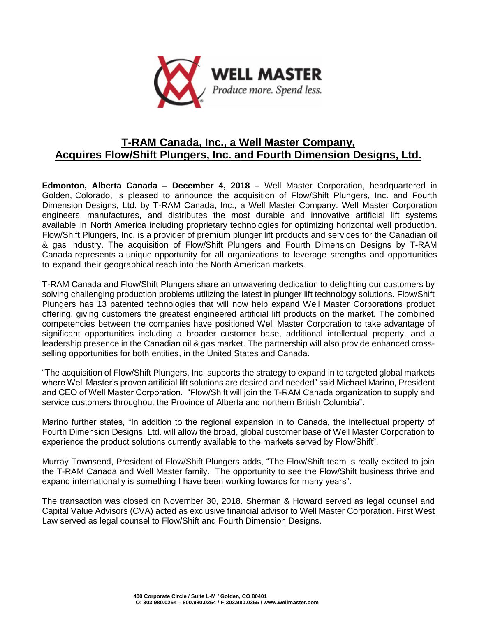

## **T-RAM Canada, Inc., a Well Master Company, Acquires Flow/Shift Plungers, Inc. and Fourth Dimension Designs, Ltd.**

**Edmonton, Alberta Canada – December 4, 2018** – Well Master Corporation, headquartered in Golden, Colorado, is pleased to announce the acquisition of Flow/Shift Plungers, Inc. and Fourth Dimension Designs, Ltd. by T-RAM Canada, Inc., a Well Master Company. Well Master Corporation engineers, manufactures, and distributes the most durable and innovative artificial lift systems available in North America including proprietary technologies for optimizing horizontal well production. Flow/Shift Plungers, Inc. is a provider of premium plunger lift products and services for the Canadian oil & gas industry. The acquisition of Flow/Shift Plungers and Fourth Dimension Designs by T-RAM Canada represents a unique opportunity for all organizations to leverage strengths and opportunities to expand their geographical reach into the North American markets.

T-RAM Canada and Flow/Shift Plungers share an unwavering dedication to delighting our customers by solving challenging production problems utilizing the latest in plunger lift technology solutions. Flow/Shift Plungers has 13 patented technologies that will now help expand Well Master Corporations product offering, giving customers the greatest engineered artificial lift products on the market. The combined competencies between the companies have positioned Well Master Corporation to take advantage of significant opportunities including a broader customer base, additional intellectual property, and a leadership presence in the Canadian oil & gas market. The partnership will also provide enhanced crossselling opportunities for both entities, in the United States and Canada.

"The acquisition of Flow/Shift Plungers, Inc. supports the strategy to expand in to targeted global markets where Well Master's proven artificial lift solutions are desired and needed" said Michael Marino, President and CEO of Well Master Corporation. "Flow/Shift will join the T-RAM Canada organization to supply and service customers throughout the Province of Alberta and northern British Columbia".

Marino further states, "In addition to the regional expansion in to Canada, the intellectual property of Fourth Dimension Designs, Ltd. will allow the broad, global customer base of Well Master Corporation to experience the product solutions currently available to the markets served by Flow/Shift".

Murray Townsend, President of Flow/Shift Plungers adds, "The Flow/Shift team is really excited to join the T-RAM Canada and Well Master family. The opportunity to see the Flow/Shift business thrive and expand internationally is something I have been working towards for many years".

The transaction was closed on November 30, 2018. Sherman & Howard served as legal counsel and Capital Value Advisors (CVA) acted as exclusive financial advisor to Well Master Corporation. First West Law served as legal counsel to Flow/Shift and Fourth Dimension Designs.